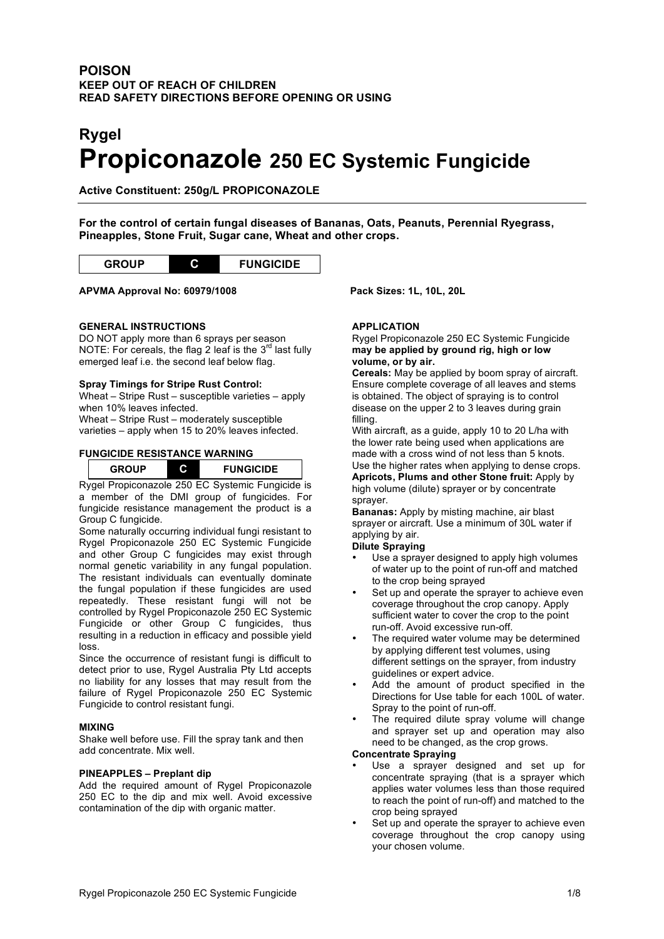# **Rygel Propiconazole 250 EC Systemic Fungicide**

**Active Constituent: 250g/L PROPICONAZOLE**

**For the control of certain fungal diseases of Bananas, Oats, Peanuts, Perennial Ryegrass, Pineapples, Stone Fruit, Sugar cane, Wheat and other crops.**

**GROUP C FUNGICIDE**

**APVMA Approval No: 60979/1008 Pack Sizes: 1L, 10L, 20L**

# **GENERAL INSTRUCTIONS**

DO NOT apply more than 6 sprays per season NOTE: For cereals, the flag 2 leaf is the  $3<sup>rd</sup>$  last fully emerged leaf i.e. the second leaf below flag.

# **Spray Timings for Stripe Rust Control:**

Wheat – Stripe Rust – susceptible varieties – apply when 10% leaves infected.

Wheat – Stripe Rust – moderately susceptible varieties – apply when 15 to 20% leaves infected.

# **FUNGICIDE RESISTANCE WARNING**



Rygel Propiconazole 250 EC Systemic Fungicide is a member of the DMI group of fungicides. For fungicide resistance management the product is a Group C fungicide.

Some naturally occurring individual fungi resistant to Rygel Propiconazole 250 EC Systemic Fungicide and other Group C fungicides may exist through normal genetic variability in any fungal population. The resistant individuals can eventually dominate the fungal population if these fungicides are used repeatedly. These resistant fungi will not be controlled by Rygel Propiconazole 250 EC Systemic Fungicide or other Group C fungicides, thus resulting in a reduction in efficacy and possible yield loss.

Since the occurrence of resistant fungi is difficult to detect prior to use, Rygel Australia Pty Ltd accepts no liability for any losses that may result from the failure of Rygel Propiconazole 250 EC Systemic Fungicide to control resistant fungi.

# **MIXING**

Shake well before use. Fill the spray tank and then add concentrate. Mix well.

# **PINEAPPLES – Preplant dip**

Add the required amount of Rygel Propiconazole 250 EC to the dip and mix well. Avoid excessive contamination of the dip with organic matter.

# **APPLICATION**

Rygel Propiconazole 250 EC Systemic Fungicide **may be applied by ground rig, high or low volume, or by air.**

**Cereals:** May be applied by boom spray of aircraft. Ensure complete coverage of all leaves and stems is obtained. The object of spraying is to control disease on the upper 2 to 3 leaves during grain filling.

With aircraft, as a guide, apply 10 to 20 L/ha with the lower rate being used when applications are made with a cross wind of not less than 5 knots. Use the higher rates when applying to dense crops.

**Apricots, Plums and other Stone fruit:** Apply by high volume (dilute) sprayer or by concentrate sprayer.

**Bananas:** Apply by misting machine, air blast sprayer or aircraft. Use a minimum of 30L water if applying by air.

# **Dilute Spraying**

- Use a sprayer designed to apply high volumes of water up to the point of run-off and matched to the crop being sprayed
- Set up and operate the sprayer to achieve even coverage throughout the crop canopy. Apply sufficient water to cover the crop to the point run-off. Avoid excessive run-off.
- The required water volume may be determined by applying different test volumes, using different settings on the sprayer, from industry guidelines or expert advice.
- Add the amount of product specified in the Directions for Use table for each 100L of water. Spray to the point of run-off.
- The required dilute spray volume will change and sprayer set up and operation may also need to be changed, as the crop grows.

# **Concentrate Spraying**

- Use a sprayer designed and set up for concentrate spraying (that is a sprayer which applies water volumes less than those required to reach the point of run-off) and matched to the crop being sprayed
- Set up and operate the sprayer to achieve even coverage throughout the crop canopy using your chosen volume.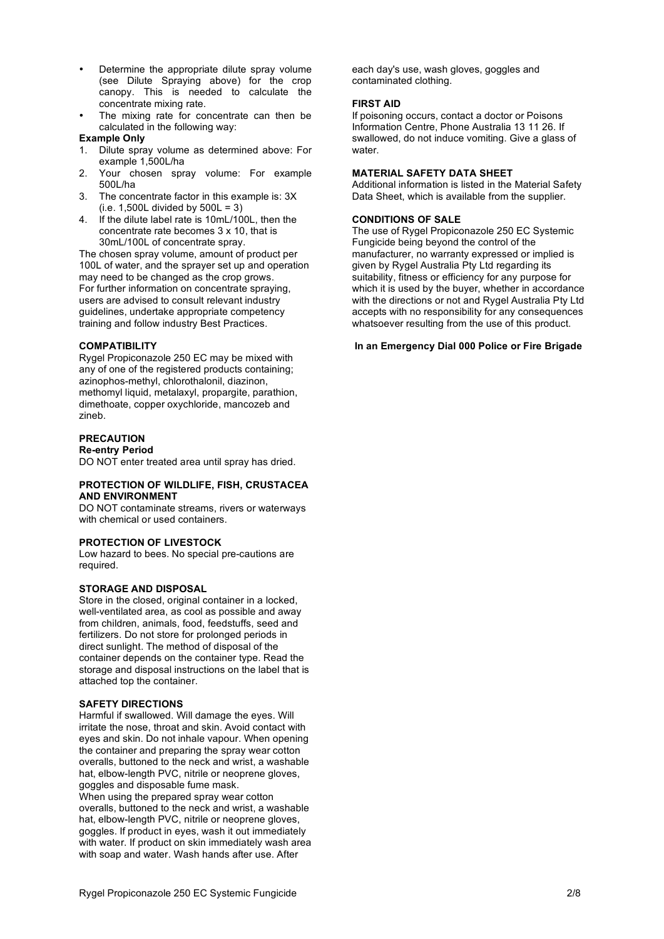- Determine the appropriate dilute spray volume (see Dilute Spraying above) for the crop canopy. This is needed to calculate the concentrate mixing rate.
- The mixing rate for concentrate can then be calculated in the following way:

#### **Example Only**

- 1. Dilute spray volume as determined above: For example 1,500L/ha
- 2. Your chosen spray volume: For example 500L/ha
- 3. The concentrate factor in this example is: 3X  $(i.e. 1,500L$  divided by  $500L = 3$ )
- 4. If the dilute label rate is 10mL/100L, then the concentrate rate becomes 3 x 10, that is 30mL/100L of concentrate spray.

The chosen spray volume, amount of product per 100L of water, and the sprayer set up and operation may need to be changed as the crop grows. For further information on concentrate spraying, users are advised to consult relevant industry guidelines, undertake appropriate competency training and follow industry Best Practices.

# **COMPATIBILITY**

Rygel Propiconazole 250 EC may be mixed with any of one of the registered products containing; azinophos-methyl, chlorothalonil, diazinon, methomyl liquid, metalaxyl, propargite, parathion, dimethoate, copper oxychloride, mancozeb and zineb.

# **PRECAUTION**

# **Re-entry Period**

DO NOT enter treated area until spray has dried.

#### **PROTECTION OF WILDLIFE, FISH, CRUSTACEA AND ENVIRONMENT**

DO NOT contaminate streams, rivers or waterways with chemical or used containers.

# **PROTECTION OF LIVESTOCK**

Low hazard to bees. No special pre-cautions are required.

# **STORAGE AND DISPOSAL**

Store in the closed, original container in a locked, well-ventilated area, as cool as possible and away from children, animals, food, feedstuffs, seed and fertilizers. Do not store for prolonged periods in direct sunlight. The method of disposal of the container depends on the container type. Read the storage and disposal instructions on the label that is attached top the container.

#### **SAFETY DIRECTIONS**

Harmful if swallowed. Will damage the eyes. Will irritate the nose, throat and skin. Avoid contact with eyes and skin. Do not inhale vapour. When opening the container and preparing the spray wear cotton overalls, buttoned to the neck and wrist, a washable hat, elbow-length PVC, nitrile or neoprene gloves, goggles and disposable fume mask. When using the prepared spray wear cotton overalls, buttoned to the neck and wrist, a washable hat, elbow-length PVC, nitrile or neoprene gloves, goggles. If product in eyes, wash it out immediately with water. If product on skin immediately wash area with soap and water. Wash hands after use. After

each day's use, wash gloves, goggles and contaminated clothing.

# **FIRST AID**

If poisoning occurs, contact a doctor or Poisons Information Centre, Phone Australia 13 11 26. If swallowed, do not induce vomiting. Give a glass of water.

#### **MATERIAL SAFETY DATA SHEET**

Additional information is listed in the Material Safety Data Sheet, which is available from the supplier.

# **CONDITIONS OF SALE**

The use of Rygel Propiconazole 250 EC Systemic Fungicide being beyond the control of the manufacturer, no warranty expressed or implied is given by Rygel Australia Pty Ltd regarding its suitability, fitness or efficiency for any purpose for which it is used by the buyer, whether in accordance with the directions or not and Rygel Australia Pty Ltd accepts with no responsibility for any consequences whatsoever resulting from the use of this product.

#### **In an Emergency Dial 000 Police or Fire Brigade**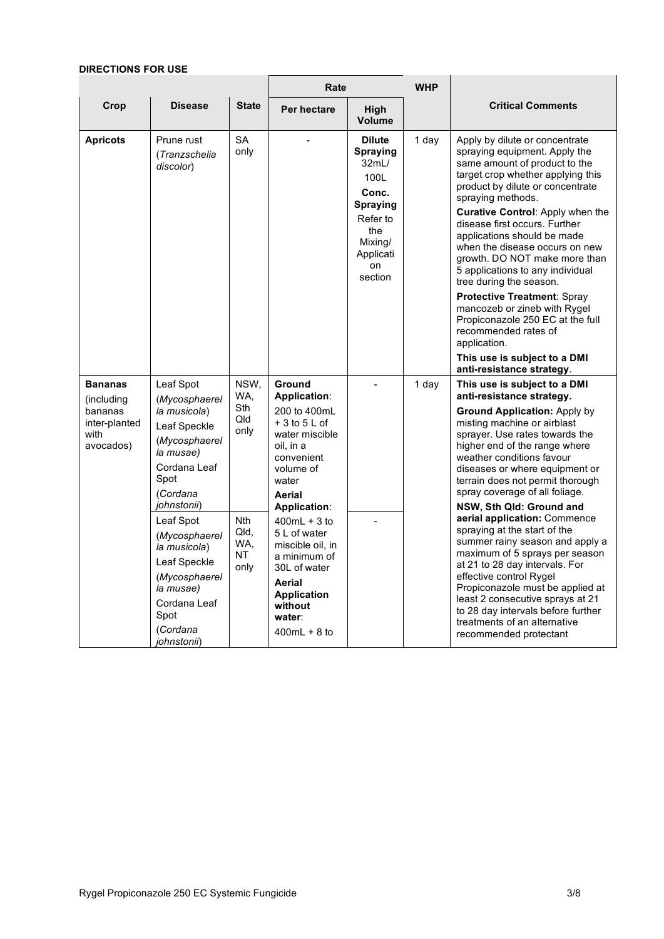# **DIRECTIONS FOR USE**

|                                                                               |                                                                                                                                                                                                                                                                                            |                                                                              | Rate                                                                                                                                                                                                                                                                                                                 |                                                                                                                                    | <b>WHP</b> |                                                                                                                                                                                                                                                                                                                                                                                                                                                                                                                                                                                                                                                                                                                                               |
|-------------------------------------------------------------------------------|--------------------------------------------------------------------------------------------------------------------------------------------------------------------------------------------------------------------------------------------------------------------------------------------|------------------------------------------------------------------------------|----------------------------------------------------------------------------------------------------------------------------------------------------------------------------------------------------------------------------------------------------------------------------------------------------------------------|------------------------------------------------------------------------------------------------------------------------------------|------------|-----------------------------------------------------------------------------------------------------------------------------------------------------------------------------------------------------------------------------------------------------------------------------------------------------------------------------------------------------------------------------------------------------------------------------------------------------------------------------------------------------------------------------------------------------------------------------------------------------------------------------------------------------------------------------------------------------------------------------------------------|
| Crop                                                                          | <b>Disease</b>                                                                                                                                                                                                                                                                             | <b>State</b>                                                                 | Per hectare                                                                                                                                                                                                                                                                                                          | High<br><b>Volume</b>                                                                                                              |            | <b>Critical Comments</b>                                                                                                                                                                                                                                                                                                                                                                                                                                                                                                                                                                                                                                                                                                                      |
| <b>Apricots</b>                                                               | Prune rust<br>(Tranzschelia<br>discolor)                                                                                                                                                                                                                                                   | <b>SA</b><br>only                                                            |                                                                                                                                                                                                                                                                                                                      | <b>Dilute</b><br>Spraying<br>32mL/<br>100L<br>Conc.<br><b>Spraying</b><br>Refer to<br>the<br>Mixing/<br>Applicati<br>on<br>section | 1 day      | Apply by dilute or concentrate<br>spraying equipment. Apply the<br>same amount of product to the<br>target crop whether applying this<br>product by dilute or concentrate<br>spraying methods.<br>Curative Control: Apply when the<br>disease first occurs. Further<br>applications should be made<br>when the disease occurs on new<br>growth. DO NOT make more than<br>5 applications to any individual<br>tree during the season.<br><b>Protective Treatment: Spray</b><br>mancozeb or zineb with Rygel<br>Propiconazole 250 EC at the full<br>recommended rates of<br>application.<br>This use is subject to a DMI<br>anti-resistance strategy.                                                                                           |
| <b>Bananas</b><br>(including<br>bananas<br>inter-planted<br>with<br>avocados) | Leaf Spot<br>(Mycosphaerel<br>la musicola)<br>Leaf Speckle<br>(Mycosphaerel<br>la musae)<br>Cordana Leaf<br>Spot<br>(Cordana<br>johnstonii)<br>Leaf Spot<br>(Mycosphaerel<br>la musicola)<br>Leaf Speckle<br>(Mycosphaerel<br>la musae)<br>Cordana Leaf<br>Spot<br>(Cordana<br>johnstonii) | NSW,<br>WA.<br>Sth<br>Qld<br>only<br>Nth<br>Qld,<br>WA,<br><b>NT</b><br>only | Ground<br>Application:<br>200 to 400mL<br>$+3$ to $5$ L of<br>water miscible<br>oil, in a<br>convenient<br>volume of<br>water<br>Aerial<br>Application:<br>$400mL + 3$ to<br>5 L of water<br>miscible oil, in<br>a minimum of<br>30L of water<br>Aerial<br><b>Application</b><br>without<br>water:<br>$400mL + 8$ to |                                                                                                                                    | 1 day      | This use is subject to a DMI<br>anti-resistance strategy.<br><b>Ground Application: Apply by</b><br>misting machine or airblast<br>sprayer. Use rates towards the<br>higher end of the range where<br>weather conditions favour<br>diseases or where equipment or<br>terrain does not permit thorough<br>spray coverage of all foliage.<br>NSW, Sth Qld: Ground and<br>aerial application: Commence<br>spraying at the start of the<br>summer rainy season and apply a<br>maximum of 5 sprays per season<br>at 21 to 28 day intervals. For<br>effective control Rygel<br>Propiconazole must be applied at<br>least 2 consecutive sprays at 21<br>to 28 day intervals before further<br>treatments of an alternative<br>recommended protectant |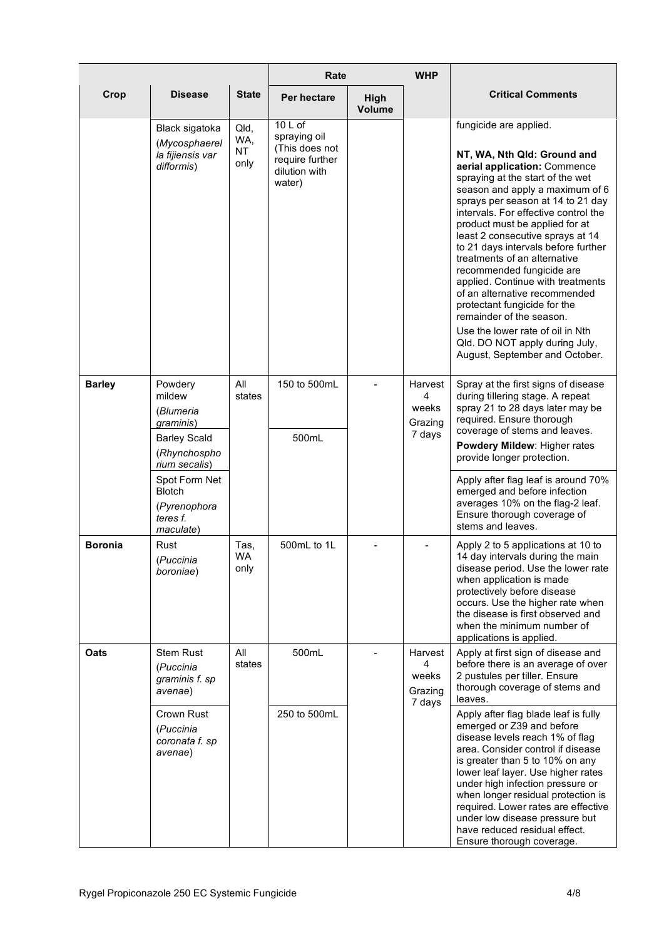|                |                                                                                                                                                                                |                           | Rate                                                                                    |                       | <b>WHP</b>                                 |                                                                                                                                                                                                                                                                                                                                                                                                                                                                                                                                                                                                                                                               |
|----------------|--------------------------------------------------------------------------------------------------------------------------------------------------------------------------------|---------------------------|-----------------------------------------------------------------------------------------|-----------------------|--------------------------------------------|---------------------------------------------------------------------------------------------------------------------------------------------------------------------------------------------------------------------------------------------------------------------------------------------------------------------------------------------------------------------------------------------------------------------------------------------------------------------------------------------------------------------------------------------------------------------------------------------------------------------------------------------------------------|
| Crop           | <b>Disease</b>                                                                                                                                                                 | <b>State</b>              | Per hectare                                                                             | High<br><b>Volume</b> |                                            | <b>Critical Comments</b>                                                                                                                                                                                                                                                                                                                                                                                                                                                                                                                                                                                                                                      |
|                | Black sigatoka<br>(Mycosphaerel<br>la fijiensis var<br>difformis)                                                                                                              | Qld,<br>WA,<br>NT<br>only | 10 L of<br>spraying oil<br>(This does not<br>require further<br>dilution with<br>water) |                       |                                            | fungicide are applied.<br>NT, WA, Nth Qld: Ground and<br>aerial application: Commence<br>spraying at the start of the wet<br>season and apply a maximum of 6<br>sprays per season at 14 to 21 day<br>intervals. For effective control the<br>product must be applied for at<br>least 2 consecutive sprays at 14<br>to 21 days intervals before further<br>treatments of an alternative<br>recommended fungicide are<br>applied. Continue with treatments<br>of an alternative recommended<br>protectant fungicide for the<br>remainder of the season.<br>Use the lower rate of oil in Nth<br>Qld. DO NOT apply during July,<br>August, September and October. |
| <b>Barley</b>  | Powdery<br>mildew<br>(Blumeria<br>graminis)<br><b>Barley Scald</b><br>(Rhynchospho<br>rium secalis)<br>Spot Form Net<br><b>Blotch</b><br>(Pyrenophora<br>teres f.<br>maculate) | All<br>states             | 150 to 500mL<br>500mL                                                                   |                       | Harvest<br>4<br>weeks<br>Grazing<br>7 days | Spray at the first signs of disease<br>during tillering stage. A repeat<br>spray 21 to 28 days later may be<br>required. Ensure thorough<br>coverage of stems and leaves.<br>Powdery Mildew: Higher rates<br>provide longer protection.<br>Apply after flag leaf is around 70%<br>emerged and before infection<br>averages 10% on the flag-2 leaf.<br>Ensure thorough coverage of<br>stems and leaves.                                                                                                                                                                                                                                                        |
| <b>Boronia</b> | Rust<br>(Puccinia<br>boroniae)                                                                                                                                                 | Tas,<br>WA.<br>only       | 500mL to 1L                                                                             |                       |                                            | Apply 2 to 5 applications at 10 to<br>14 day intervals during the main<br>disease period. Use the lower rate<br>when application is made<br>protectively before disease<br>occurs. Use the higher rate when<br>the disease is first observed and<br>when the minimum number of<br>applications is applied.                                                                                                                                                                                                                                                                                                                                                    |
| Oats           | <b>Stem Rust</b><br>(Puccinia<br>graminis f. sp<br>avenae)                                                                                                                     | All<br>states             | 500mL                                                                                   |                       | Harvest<br>4<br>weeks<br>Grazing<br>7 days | Apply at first sign of disease and<br>before there is an average of over<br>2 pustules per tiller. Ensure<br>thorough coverage of stems and<br>leaves.                                                                                                                                                                                                                                                                                                                                                                                                                                                                                                        |
|                | Crown Rust<br>(Puccinia<br>coronata f. sp<br>avenae)                                                                                                                           |                           | 250 to 500mL                                                                            |                       |                                            | Apply after flag blade leaf is fully<br>emerged or Z39 and before<br>disease levels reach 1% of flag<br>area. Consider control if disease<br>is greater than 5 to 10% on any<br>lower leaf layer. Use higher rates<br>under high infection pressure or<br>when longer residual protection is<br>required. Lower rates are effective<br>under low disease pressure but<br>have reduced residual effect.<br>Ensure thorough coverage.                                                                                                                                                                                                                           |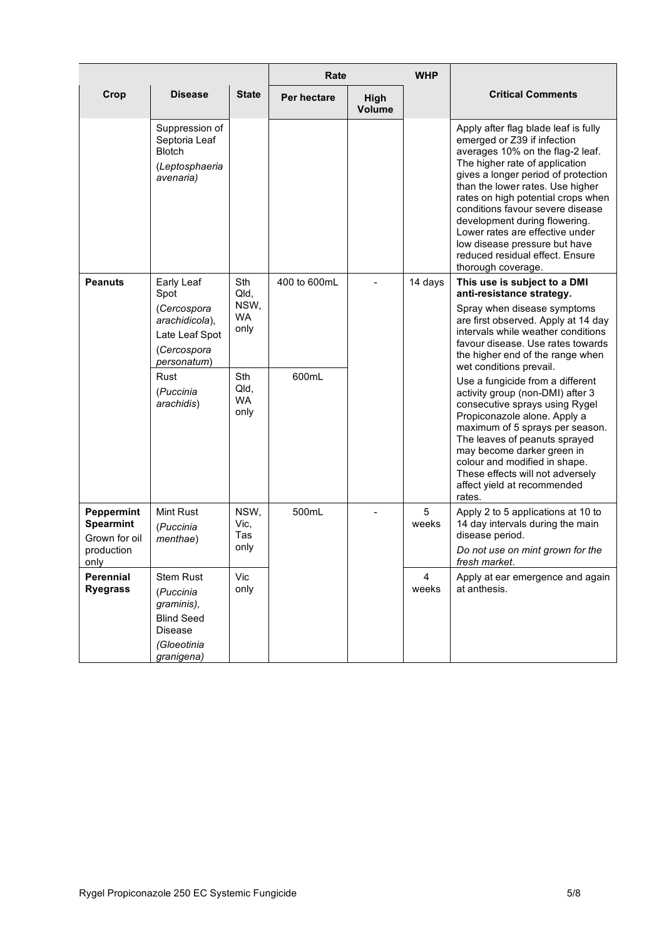|                                                               |                                                                                                                 | Rate                                     |              | <b>WHP</b>            |            |                                                                                                                                                                                                                                                                                                                                                                                                                                                              |
|---------------------------------------------------------------|-----------------------------------------------------------------------------------------------------------------|------------------------------------------|--------------|-----------------------|------------|--------------------------------------------------------------------------------------------------------------------------------------------------------------------------------------------------------------------------------------------------------------------------------------------------------------------------------------------------------------------------------------------------------------------------------------------------------------|
| Crop                                                          | Disease                                                                                                         | <b>State</b>                             | Per hectare  | High<br><b>Volume</b> |            | <b>Critical Comments</b>                                                                                                                                                                                                                                                                                                                                                                                                                                     |
|                                                               | Suppression of<br>Septoria Leaf<br><b>Blotch</b><br>(Leptosphaeria<br>avenaria)                                 |                                          |              |                       |            | Apply after flag blade leaf is fully<br>emerged or Z39 if infection<br>averages 10% on the flag-2 leaf.<br>The higher rate of application<br>gives a longer period of protection<br>than the lower rates. Use higher<br>rates on high potential crops when<br>conditions favour severe disease<br>development during flowering.<br>Lower rates are effective under<br>low disease pressure but have<br>reduced residual effect. Ensure<br>thorough coverage. |
| <b>Peanuts</b>                                                | Early Leaf<br>Spot<br>(Cercospora<br>arachidicola),<br>Late Leaf Spot                                           | Sth<br>Qld,<br>NSW,<br><b>WA</b><br>only | 400 to 600mL |                       | 14 days    | This use is subject to a DMI<br>anti-resistance strategy.<br>Spray when disease symptoms<br>are first observed. Apply at 14 day<br>intervals while weather conditions                                                                                                                                                                                                                                                                                        |
|                                                               | (Cercospora<br>personatum)                                                                                      |                                          |              |                       |            | favour disease. Use rates towards<br>the higher end of the range when<br>wet conditions prevail.                                                                                                                                                                                                                                                                                                                                                             |
|                                                               | Rust<br>(Puccinia<br>arachidis)                                                                                 | Sth<br>Qld,<br><b>WA</b><br>only         | 600mL        |                       |            | Use a fungicide from a different<br>activity group (non-DMI) after 3<br>consecutive sprays using Rygel<br>Propiconazole alone. Apply a<br>maximum of 5 sprays per season.<br>The leaves of peanuts sprayed<br>may become darker green in<br>colour and modified in shape.<br>These effects will not adversely<br>affect yield at recommended<br>rates.                                                                                                       |
| Peppermint<br><b>Spearmint</b><br>Grown for oil<br>production | Mint Rust<br>(Puccinia<br>menthae)                                                                              | NSW,<br>Vic,<br>Tas<br>only              | 500mL        |                       | 5<br>weeks | Apply 2 to 5 applications at 10 to<br>14 day intervals during the main<br>disease period.<br>Do not use on mint grown for the                                                                                                                                                                                                                                                                                                                                |
| only                                                          |                                                                                                                 |                                          |              |                       |            | fresh market.                                                                                                                                                                                                                                                                                                                                                                                                                                                |
| Perennial<br><b>Ryegrass</b>                                  | <b>Stem Rust</b><br>(Puccinia<br>graminis),<br><b>Blind Seed</b><br><b>Disease</b><br>(Gloeotinia<br>granigena) | Vic<br>only                              |              |                       | 4<br>weeks | Apply at ear emergence and again<br>at anthesis.                                                                                                                                                                                                                                                                                                                                                                                                             |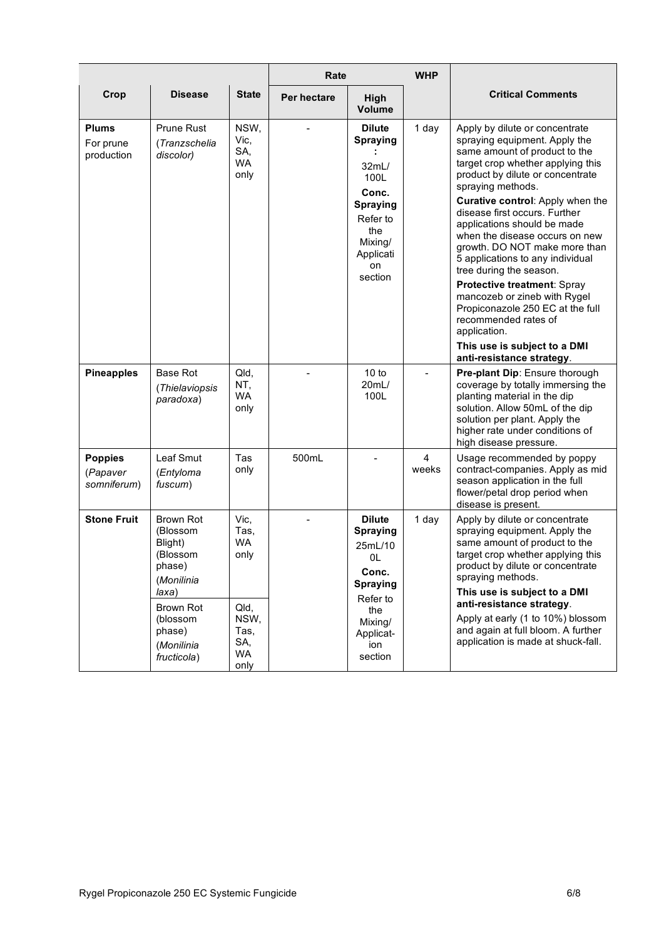|                                           |                                                                                                                                               |                                                                                 | Rate        |                                                                                                                                            | <b>WHP</b> |                                                                                                                                                                                                                                                                                                                                                                                                                                                                                                                                                                                                                                              |
|-------------------------------------------|-----------------------------------------------------------------------------------------------------------------------------------------------|---------------------------------------------------------------------------------|-------------|--------------------------------------------------------------------------------------------------------------------------------------------|------------|----------------------------------------------------------------------------------------------------------------------------------------------------------------------------------------------------------------------------------------------------------------------------------------------------------------------------------------------------------------------------------------------------------------------------------------------------------------------------------------------------------------------------------------------------------------------------------------------------------------------------------------------|
| Crop                                      | <b>Disease</b>                                                                                                                                | <b>State</b>                                                                    | Per hectare | High<br><b>Volume</b>                                                                                                                      |            | <b>Critical Comments</b>                                                                                                                                                                                                                                                                                                                                                                                                                                                                                                                                                                                                                     |
| <b>Plums</b><br>For prune<br>production   | <b>Prune Rust</b><br>(Tranzschelia<br>discolor)                                                                                               | NSW,<br>Vic,<br>SA,<br>WA<br>only                                               |             | <b>Dilute</b><br>Spraying<br>32mL/<br>100L<br>Conc.<br><b>Spraying</b><br>Refer to<br>the<br>Mixing/<br>Applicati<br>on<br>section         | 1 day      | Apply by dilute or concentrate<br>spraying equipment. Apply the<br>same amount of product to the<br>target crop whether applying this<br>product by dilute or concentrate<br>spraying methods.<br>Curative control: Apply when the<br>disease first occurs. Further<br>applications should be made<br>when the disease occurs on new<br>growth. DO NOT make more than<br>5 applications to any individual<br>tree during the season.<br>Protective treatment: Spray<br>mancozeb or zineb with Rygel<br>Propiconazole 250 EC at the full<br>recommended rates of<br>application.<br>This use is subject to a DMI<br>anti-resistance strategy. |
| <b>Pineapples</b>                         | Base Rot<br>(Thielaviopsis<br>paradoxa)                                                                                                       | Qld,<br>NT,<br><b>WA</b><br>only                                                |             | 10 to<br>20mL/<br>100L                                                                                                                     |            | Pre-plant Dip: Ensure thorough<br>coverage by totally immersing the<br>planting material in the dip<br>solution. Allow 50mL of the dip<br>solution per plant. Apply the<br>higher rate under conditions of<br>high disease pressure.                                                                                                                                                                                                                                                                                                                                                                                                         |
| <b>Poppies</b><br>(Papaver<br>somniferum) | Leaf Smut<br>(Entyloma<br>fuscum)                                                                                                             | Tas<br>only                                                                     | 500mL       |                                                                                                                                            | 4<br>weeks | Usage recommended by poppy<br>contract-companies. Apply as mid<br>season application in the full<br>flower/petal drop period when<br>disease is present.                                                                                                                                                                                                                                                                                                                                                                                                                                                                                     |
| <b>Stone Fruit</b>                        | Brown Rot<br>(Blossom<br>Blight)<br>(Blossom<br>phase)<br>(Monilinia<br>laxa)<br>Brown Rot<br>(blossom<br>phase)<br>(Monilinia<br>fructicola) | Vic,<br>Tas,<br>WA.<br>only<br>Qld,<br>NSW,<br>Tas,<br>SA,<br><b>WA</b><br>only |             | <b>Dilute</b><br><b>Spraying</b><br>25mL/10<br>0L<br>Conc.<br><b>Spraying</b><br>Refer to<br>the<br>Mixing/<br>Applicat-<br>ion<br>section | 1 day      | Apply by dilute or concentrate<br>spraying equipment. Apply the<br>same amount of product to the<br>target crop whether applying this<br>product by dilute or concentrate<br>spraying methods.<br>This use is subject to a DMI<br>anti-resistance strategy.<br>Apply at early (1 to 10%) blossom<br>and again at full bloom. A further<br>application is made at shuck-fall.                                                                                                                                                                                                                                                                 |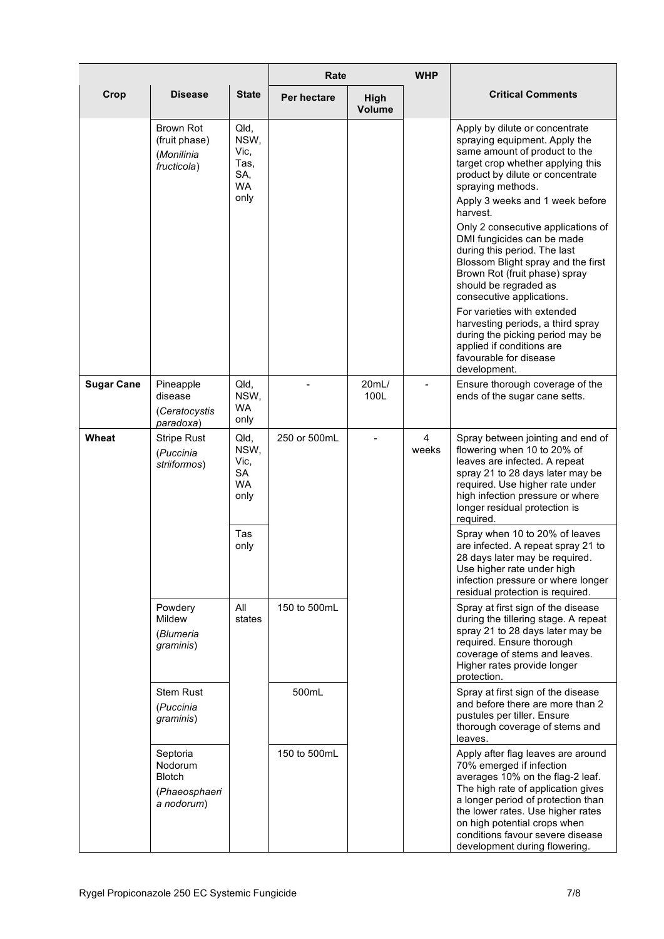|                   |                                                                            |                                                          | Rate         |                       | <b>WHP</b> |                                                                                                                                                                                                                                                                                                                                                                                                                                                                                                                                                                                                                                                               |
|-------------------|----------------------------------------------------------------------------|----------------------------------------------------------|--------------|-----------------------|------------|---------------------------------------------------------------------------------------------------------------------------------------------------------------------------------------------------------------------------------------------------------------------------------------------------------------------------------------------------------------------------------------------------------------------------------------------------------------------------------------------------------------------------------------------------------------------------------------------------------------------------------------------------------------|
| Crop              | <b>Disease</b>                                                             | <b>State</b>                                             | Per hectare  | High<br><b>Volume</b> |            | <b>Critical Comments</b>                                                                                                                                                                                                                                                                                                                                                                                                                                                                                                                                                                                                                                      |
|                   | Brown Rot<br>(fruit phase)<br>(Monilinia<br>fructicola)                    | Qld,<br>NSW,<br>Vic,<br>Tas,<br>SA,<br><b>WA</b><br>only |              |                       |            | Apply by dilute or concentrate<br>spraying equipment. Apply the<br>same amount of product to the<br>target crop whether applying this<br>product by dilute or concentrate<br>spraying methods.<br>Apply 3 weeks and 1 week before<br>harvest.<br>Only 2 consecutive applications of<br>DMI fungicides can be made<br>during this period. The last<br>Blossom Blight spray and the first<br>Brown Rot (fruit phase) spray<br>should be regraded as<br>consecutive applications.<br>For varieties with extended<br>harvesting periods, a third spray<br>during the picking period may be<br>applied if conditions are<br>favourable for disease<br>development. |
| <b>Sugar Cane</b> | Pineapple<br>disease<br>(Ceratocystis<br>paradoxa)                         | Qld,<br>NSW,<br><b>WA</b><br>only                        |              | 20mL/<br>100L         |            | Ensure thorough coverage of the<br>ends of the sugar cane setts.                                                                                                                                                                                                                                                                                                                                                                                                                                                                                                                                                                                              |
| Wheat             | <b>Stripe Rust</b><br>(Puccinia<br>striiformos)                            | Qld,<br>NSW,<br>Vic,<br><b>SA</b><br>WA<br>only          | 250 or 500mL |                       | 4<br>weeks | Spray between jointing and end of<br>flowering when 10 to 20% of<br>leaves are infected. A repeat<br>spray 21 to 28 days later may be<br>required. Use higher rate under<br>high infection pressure or where<br>longer residual protection is<br>required.                                                                                                                                                                                                                                                                                                                                                                                                    |
|                   |                                                                            | Tas<br>only                                              |              |                       |            | Spray when 10 to 20% of leaves<br>are infected. A repeat spray 21 to<br>28 days later may be required.<br>Use higher rate under high<br>infection pressure or where longer<br>residual protection is required.                                                                                                                                                                                                                                                                                                                                                                                                                                                |
|                   | Powdery<br>Mildew<br>(Blumeria<br>graminis)                                | All<br>states                                            | 150 to 500mL |                       |            | Spray at first sign of the disease<br>during the tillering stage. A repeat<br>spray 21 to 28 days later may be<br>required. Ensure thorough<br>coverage of stems and leaves.<br>Higher rates provide longer<br>protection.                                                                                                                                                                                                                                                                                                                                                                                                                                    |
|                   | Stem Rust<br>(Puccinia<br>graminis)                                        |                                                          | 500mL        |                       |            | Spray at first sign of the disease<br>and before there are more than 2<br>pustules per tiller. Ensure<br>thorough coverage of stems and<br>leaves.                                                                                                                                                                                                                                                                                                                                                                                                                                                                                                            |
|                   | Septoria<br><b>Nodorum</b><br><b>Blotch</b><br>(Phaeosphaeri<br>a nodorum) |                                                          | 150 to 500mL |                       |            | Apply after flag leaves are around<br>70% emerged if infection<br>averages 10% on the flag-2 leaf.<br>The high rate of application gives<br>a longer period of protection than<br>the lower rates. Use higher rates<br>on high potential crops when<br>conditions favour severe disease<br>development during flowering.                                                                                                                                                                                                                                                                                                                                      |